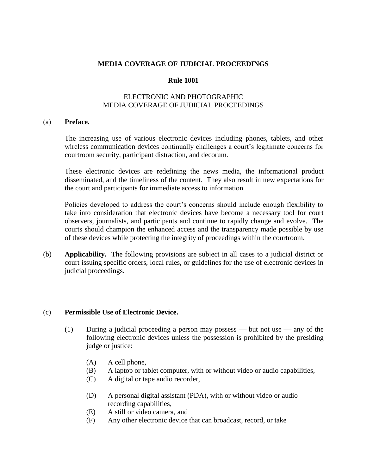## **MEDIA COVERAGE OF JUDICIAL PROCEEDINGS**

### **Rule 1001**

### ELECTRONIC AND PHOTOGRAPHIC MEDIA COVERAGE OF JUDICIAL PROCEEDINGS

#### (a) **Preface.**

The increasing use of various electronic devices including phones, tablets, and other wireless communication devices continually challenges a court's legitimate concerns for courtroom security, participant distraction, and decorum.

These electronic devices are redefining the news media, the informational product disseminated, and the timeliness of the content. They also result in new expectations for the court and participants for immediate access to information.

Policies developed to address the court's concerns should include enough flexibility to take into consideration that electronic devices have become a necessary tool for court observers, journalists, and participants and continue to rapidly change and evolve. The courts should champion the enhanced access and the transparency made possible by use of these devices while protecting the integrity of proceedings within the courtroom.

(b) **Applicability.** The following provisions are subject in all cases to a judicial district or court issuing specific orders, local rules, or guidelines for the use of electronic devices in judicial proceedings.

#### (c) **Permissible Use of Electronic Device.**

- (1) During a judicial proceeding a person may possess but not use any of the following electronic devices unless the possession is prohibited by the presiding judge or justice:
	- (A) A cell phone,
	- (B) A laptop or tablet computer, with or without video or audio capabilities,
	- (C) A digital or tape audio recorder,
	- (D) A personal digital assistant (PDA), with or without video or audio recording capabilities,
	- (E) A still or video camera, and
	- (F) Any other electronic device that can broadcast, record, or take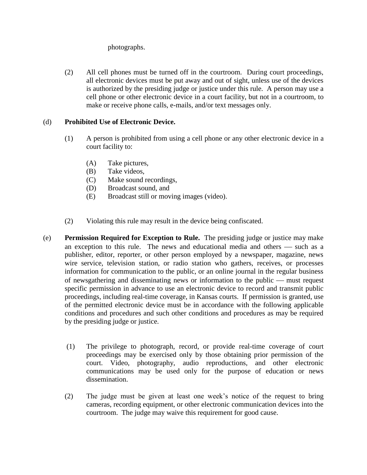# photographs.

(2) All cell phones must be turned off in the courtroom. During court proceedings, all electronic devices must be put away and out of sight, unless use of the devices is authorized by the presiding judge or justice under this rule. A person may use a cell phone or other electronic device in a court facility, but not in a courtroom, to make or receive phone calls, e-mails, and/or text messages only.

# (d) **Prohibited Use of Electronic Device.**

- (1) A person is prohibited from using a cell phone or any other electronic device in a court facility to:
	- (A) Take pictures,
	- (B) Take videos,
	- (C) Make sound recordings,
	- (D) Broadcast sound, and
	- (E) Broadcast still or moving images (video).
- (2) Violating this rule may result in the device being confiscated.
- (e) **Permission Required for Exception to Rule.** The presiding judge or justice may make an exception to this rule. The news and educational media and others  $-$  such as a publisher, editor, reporter, or other person employed by a newspaper, magazine, news wire service, television station, or radio station who gathers, receives, or processes information for communication to the public, or an online journal in the regular business of newsgathering and disseminating news or information to the public  $-$  must request specific permission in advance to use an electronic device to record and transmit public proceedings, including real-time coverage, in Kansas courts. If permission is granted, use of the permitted electronic device must be in accordance with the following applicable conditions and procedures and such other conditions and procedures as may be required by the presiding judge or justice.
	- (1) The privilege to photograph, record, or provide real-time coverage of court proceedings may be exercised only by those obtaining prior permission of the court. Video, photography, audio reproductions, and other electronic communications may be used only for the purpose of education or news dissemination.
	- (2) The judge must be given at least one week's notice of the request to bring cameras, recording equipment, or other electronic communication devices into the courtroom. The judge may waive this requirement for good cause.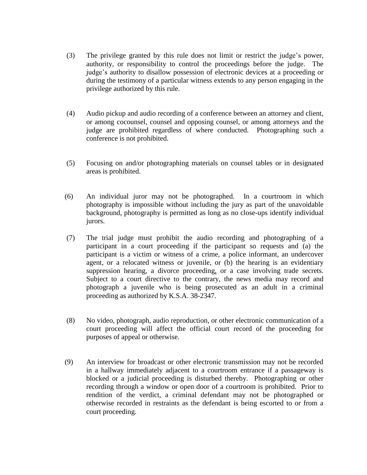- (3) The privilege granted by this rule does not limit or restrict the judge's power, authority, or responsibility to control the proceedings before the judge. The judge's authority to disallow possession of electronic devices at a proceeding or during the testimony of a particular witness extends to any person engaging in the privilege authorized by this rule.
- (4) Audio pickup and audio recording of a conference between an attorney and client, or among cocounsel, counsel and opposing counsel, or among attorneys and the judge are prohibited regardless of where conducted. Photographing such a conference is not prohibited.
- (5) Focusing on and/or photographing materials on counsel tables or in designated areas is prohibited.
- (6) An individual juror may not be photographed. In a courtroom in which photography is impossible without including the jury as part of the unavoidable background, photography is permitted as long as no close-ups identify individual jurors.
- (7) The trial judge must prohibit the audio recording and photographing of a participant in a court proceeding if the participant so requests and (a) the participant is a victim or witness of a crime, a police informant, an undercover agent, or a relocated witness or juvenile, or (b) the hearing is an evidentiary suppression hearing, a divorce proceeding, or a case involving trade secrets. Subject to a court directive to the contrary, the news media may record and photograph a juvenile who is being prosecuted as an adult in a criminal proceeding as authorized by K.S.A. 38-2347.
- (8) No video, photograph, audio reproduction, or other electronic communication of a court proceeding will affect the official court record of the proceeding for purposes of appeal or otherwise.
- (9) An interview for broadcast or other electronic transmission may not be recorded in a hallway immediately adjacent to a courtroom entrance if a passageway is blocked or a judicial proceeding is disturbed thereby. Photographing or other recording through a window or open door of a courtroom is prohibited. Prior to rendition of the verdict, a criminal defendant may not be photographed or otherwise recorded in restraints as the defendant is being escorted to or from a court proceeding.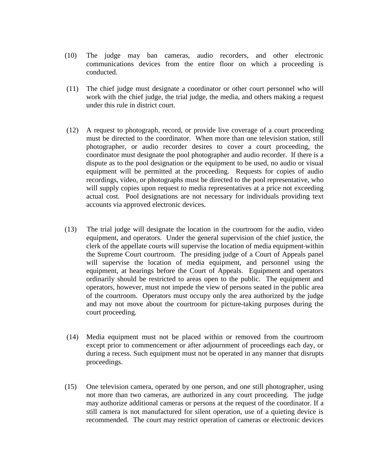- (10) The judge may ban cameras, audio recorders, and other electronic communications devices from the entire floor on which a proceeding is conducted.
- (11) The chief judge must designate a coordinator or other court personnel who will work with the chief judge, the trial judge, the media, and others making a request under this rule in district court.
- (12) A request to photograph, record, or provide live coverage of a court proceeding must be directed to the coordinator. When more than one television station, still photographer, or audio recorder desires to cover a court proceeding, the coordinator must designate the pool photographer and audio recorder. If there is a dispute as to the pool designation or the equipment to be used, no audio or visual equipment will be permitted at the proceeding. Requests for copies of audio recordings, video, or photographs must be directed to the pool representative, who will supply copies upon request to media representatives at a price not exceeding actual cost. Pool designations are not necessary for individuals providing text accounts via approved electronic devices.
- (13) The trial judge will designate the location in the courtroom for the audio, video equipment, and operators. Under the general supervision of the chief justice, the clerk of the appellate courts will supervise the location of media equipment within the Supreme Court courtroom. The presiding judge of a Court of Appeals panel will supervise the location of media equipment, and personnel using the equipment, at hearings before the Court of Appeals. Equipment and operators ordinarily should be restricted to areas open to the public. The equipment and operators, however, must not impede the view of persons seated in the public area of the courtroom. Operators must occupy only the area authorized by the judge and may not move about the courtroom for picture-taking purposes during the court proceeding.
- (14) Media equipment must not be placed within or removed from the courtroom except prior to commencement or after adjournment of proceedings each day, or during a recess. Such equipment must not be operated in any manner that disrupts proceedings.
- (15) One television camera, operated by one person, and one still photographer, using not more than two cameras, are authorized in any court proceeding. The judge may authorize additional cameras or persons at the request of the coordinator. If a still camera is not manufactured for silent operation, use of a quieting device is recommended. The court may restrict operation of cameras or electronic devices